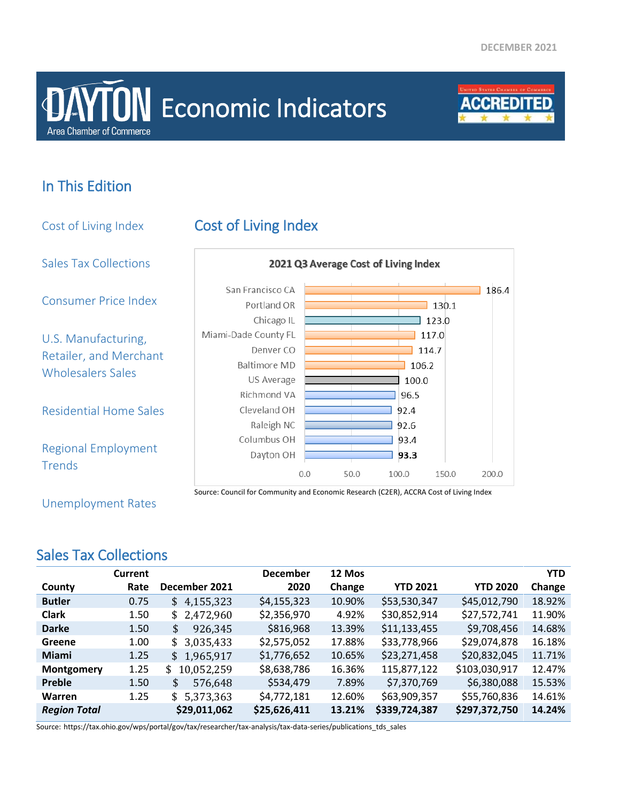# **Area Chamber of Commerce DAYTON** Economic Indicators



### In This Edition

Cost of Living Index Cost of Living Index Sales Tax Collections 2021 Q3 Average Cost of Living Index San Francisco CA  $186.4$ Consumer Price Index Portland OR  $130.1$ Chicago IL  $\overline{\phantom{0}}$  123.0 Miami-Dade County FL  $\overline{1}$  117.0 U.S. Manufacturing, Denver CO  $114.7$ Retailer, and Merchant **Baltimore MD** 106.2 Wholesalers Sales US Average 100.0 Richmond VA 96.5 Residential Home Sales Cleveland OH 92.4 Raleigh NC 92.6 Columbus OH 93.4 Regional Employment Dayton OH 93.3 **Trends**  $0.0$ 50.0 100.0 150.0 200.0 Source: Council for Community and Economic Research (C2ER), ACCRA Cost of Living Index

Unemployment Rates

### Sales Tax Collections

|                     | <b>Current</b> |                  | <b>December</b> | 12 Mos |                 |                 | <b>YTD</b> |
|---------------------|----------------|------------------|-----------------|--------|-----------------|-----------------|------------|
| County              | Rate           | December 2021    | 2020            | Change | <b>YTD 2021</b> | <b>YTD 2020</b> | Change     |
| <b>Butler</b>       | 0.75           | 4,155,323<br>\$  | \$4,155,323     | 10.90% | \$53,530,347    | \$45,012,790    | 18.92%     |
| <b>Clark</b>        | 1.50           | \$2,472,960      | \$2,356,970     | 4.92%  | \$30,852,914    | \$27,572,741    | 11.90%     |
| <b>Darke</b>        | 1.50           | \$<br>926,345    | \$816,968       | 13.39% | \$11,133,455    | \$9,708,456     | 14.68%     |
| Greene              | 1.00           | 3,035,433<br>\$  | \$2,575,052     | 17.88% | \$33,778,966    | \$29,074,878    | 16.18%     |
| <b>Miami</b>        | 1.25           | \$1,965,917      | \$1,776,652     | 10.65% | \$23,271,458    | \$20,832,045    | 11.71%     |
| Montgomery          | 1.25           | 10,052,259<br>\$ | \$8,638,786     | 16.36% | 115,877,122     | \$103,030,917   | 12.47%     |
| Preble              | 1.50           | 576,648<br>\$    | \$534,479       | 7.89%  | \$7,370,769     | \$6,380,088     | 15.53%     |
| <b>Warren</b>       | 1.25           | \$5,373,363      | \$4,772,181     | 12.60% | \$63,909,357    | \$55,760,836    | 14.61%     |
| <b>Region Total</b> |                | \$29,011,062     | \$25,626,411    | 13.21% | \$339,724,387   | \$297,372,750   | 14.24%     |

Source: https://tax.ohio.gov/wps/portal/gov/tax/researcher/tax-analysis/tax-data-series/publications\_tds\_sales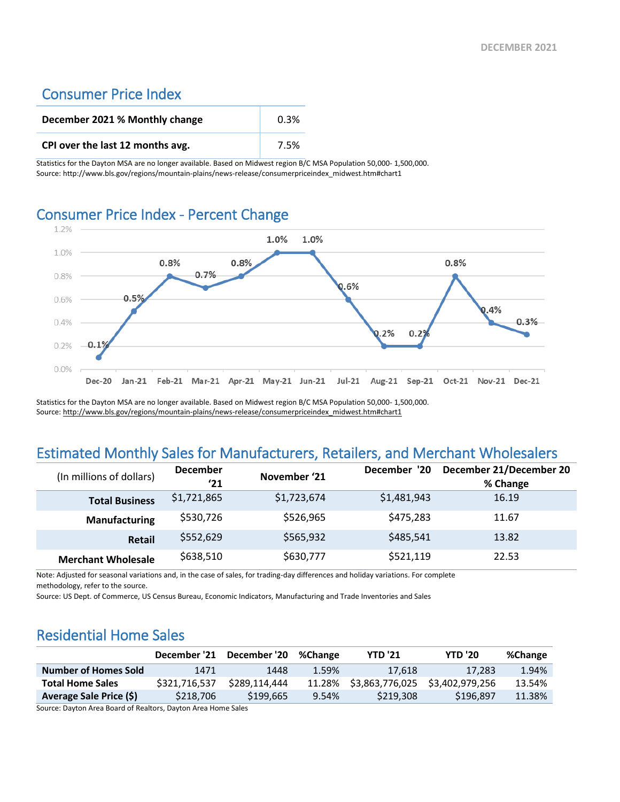### Consumer Price Index

| December 2021 % Monthly change   | 0.3% |
|----------------------------------|------|
| CPI over the last 12 months avg. | 7.5% |

Statistics for the Dayton MSA are no longer available. Based on Midwest region B/C MSA Population 50,000- 1,500,000. Source: http://www.bls.gov/regions/mountain-plains/news-release/consumerpriceindex\_midwest.htm#chart1

## Consumer Price Index - Percent Change



Statistics for the Dayton MSA are no longer available. Based on Midwest region B/C MSA Population 50,000- 1,500,000. Source[: http://www.bls.gov/regions/mountain-plains/news-release/consumerpriceindex\\_midwest.htm#chart1](http://www.bls.gov/regions/mountain-plains/news-release/consumerpriceindex_midwest.htm#chart1)

### Estimated Monthly Sales for Manufacturers, Retailers, and Merchant Wholesalers

| (In millions of dollars)  | <b>December</b><br>'21 | November '21 | December '20 | December 21/December 20<br>% Change |
|---------------------------|------------------------|--------------|--------------|-------------------------------------|
| <b>Total Business</b>     | \$1,721,865            | \$1,723,674  | \$1,481,943  | 16.19                               |
| <b>Manufacturing</b>      | \$530,726              | \$526,965    | \$475,283    | 11.67                               |
| Retail                    | \$552,629              | \$565,932    | \$485,541    | 13.82                               |
| <b>Merchant Wholesale</b> | \$638,510              | \$630,777    | \$521,119    | 22.53                               |

Note: Adjusted for seasonal variations and, in the case of sales, for trading-day differences and holiday variations. For complete methodology, refer to the source.

Source: US Dept. of Commerce, US Census Bureau, Economic Indicators, Manufacturing and Trade Inventories and Sales

### Residential Home Sales

|                             | December '21  | December '20  | %Change | <b>YTD '21</b>  | <b>YTD '20</b>  | %Change |
|-----------------------------|---------------|---------------|---------|-----------------|-----------------|---------|
| <b>Number of Homes Sold</b> | 1471          | 1448          | 1.59%   | 17.618          | 17.283          | 1.94%   |
| <b>Total Home Sales</b>     | \$321.716.537 | \$289.114.444 | 11.28%  | \$3,863,776,025 | \$3.402.979.256 | 13.54%  |
| Average Sale Price (\$)     | \$218,706     | \$199,665     | 9.54%   | \$219,308       | \$196.897       | 11.38%  |

Source: Dayton Area Board of Realtors, Dayton Area Home Sales